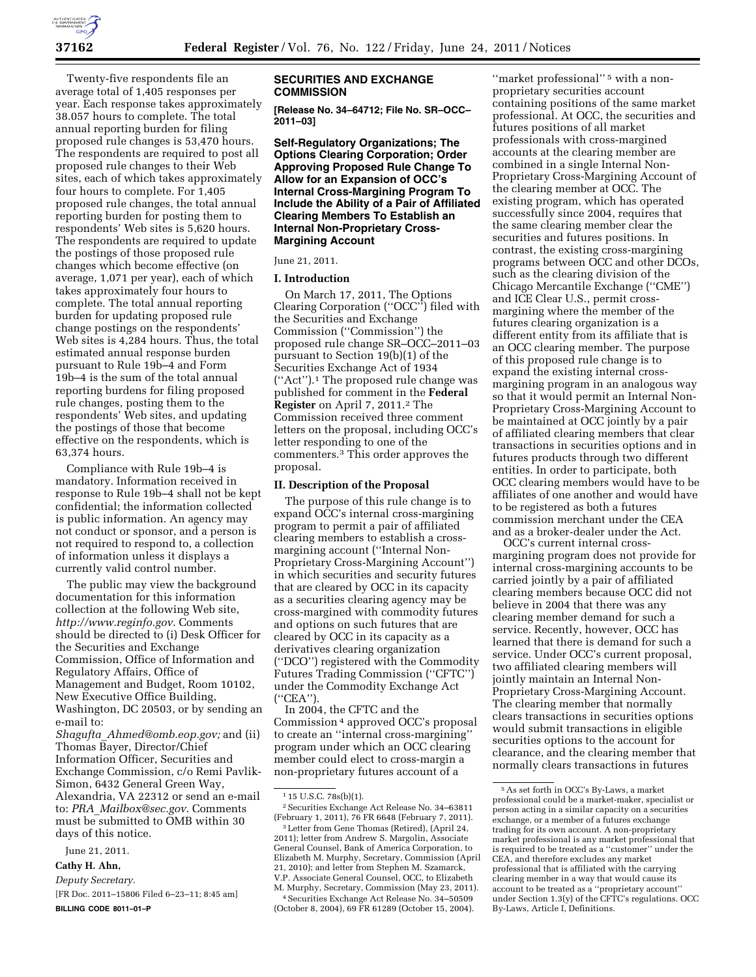Twenty-five respondents file an average total of 1,405 responses per year. Each response takes approximately 38.057 hours to complete. The total annual reporting burden for filing proposed rule changes is 53,470 hours. The respondents are required to post all proposed rule changes to their Web sites, each of which takes approximately four hours to complete. For 1,405 proposed rule changes, the total annual reporting burden for posting them to respondents' Web sites is 5,620 hours. The respondents are required to update the postings of those proposed rule changes which become effective (on average, 1,071 per year), each of which takes approximately four hours to complete. The total annual reporting burden for updating proposed rule change postings on the respondents' Web sites is 4,284 hours. Thus, the total estimated annual response burden pursuant to Rule 19b–4 and Form 19b–4 is the sum of the total annual reporting burdens for filing proposed rule changes, posting them to the respondents' Web sites, and updating the postings of those that become effective on the respondents, which is 63,374 hours.

Compliance with Rule 19b–4 is mandatory. Information received in response to Rule 19b–4 shall not be kept confidential; the information collected is public information. An agency may not conduct or sponsor, and a person is not required to respond to, a collection of information unless it displays a currently valid control number.

The public may view the background documentation for this information collection at the following Web site, *<http://www.reginfo.gov>*. Comments should be directed to (i) Desk Officer for the Securities and Exchange Commission, Office of Information and Regulatory Affairs, Office of Management and Budget, Room 10102, New Executive Office Building, Washington, DC 20503, or by sending an e-mail to:

*Shagufta*\_*[Ahmed@omb.eop.gov;](mailto:Shagufta_Ahmed@omb.eop.gov)* and (ii) Thomas Bayer, Director/Chief Information Officer, Securities and Exchange Commission, c/o Remi Pavlik-Simon, 6432 General Green Way, Alexandria, VA 22312 or send an e-mail to: *PRA*\_*[Mailbox@sec.gov](mailto:PRA_Mailbox@sec.gov)*. Comments must be submitted to OMB within 30 days of this notice.

June 21, 2011.

## **Cathy H. Ahn,**

*Deputy Secretary.* 

[FR Doc. 2011–15806 Filed 6–23–11; 8:45 am] **BILLING CODE 8011–01–P** 

# **SECURITIES AND EXCHANGE COMMISSION**

**[Release No. 34–64712; File No. SR–OCC– 2011–03]** 

**Self-Regulatory Organizations; The Options Clearing Corporation; Order Approving Proposed Rule Change To Allow for an Expansion of OCC's Internal Cross-Margining Program To Include the Ability of a Pair of Affiliated Clearing Members To Establish an Internal Non-Proprietary Cross-Margining Account** 

## June 21, 2011.

## **I. Introduction**

On March 17, 2011, The Options Clearing Corporation (''OCC'') filed with the Securities and Exchange Commission (''Commission'') the proposed rule change SR–OCC–2011–03 pursuant to Section 19(b)(1) of the Securities Exchange Act of 1934 (''Act'').1 The proposed rule change was published for comment in the **Federal Register** on April 7, 2011.2 The Commission received three comment letters on the proposal, including OCC's letter responding to one of the commenters.3 This order approves the proposal.

### **II. Description of the Proposal**

The purpose of this rule change is to expand OCC's internal cross-margining program to permit a pair of affiliated clearing members to establish a crossmargining account (''Internal Non-Proprietary Cross-Margining Account'') in which securities and security futures that are cleared by OCC in its capacity as a securities clearing agency may be cross-margined with commodity futures and options on such futures that are cleared by OCC in its capacity as a derivatives clearing organization (''DCO'') registered with the Commodity Futures Trading Commission (''CFTC'') under the Commodity Exchange Act (''CEA'').

In 2004, the CFTC and the Commission 4 approved OCC's proposal to create an ''internal cross-margining'' program under which an OCC clearing member could elect to cross-margin a non-proprietary futures account of a

2011); letter from Andrew S. Margolin, Associate General Counsel, Bank of America Corporation, to Elizabeth M. Murphy, Secretary, Commission (April 21, 2010); and letter from Stephen M. Szamarck, V.P. Associate General Counsel, OCC, to Elizabeth M. Murphy, Secretary, Commission (May 23, 2011).

4Securities Exchange Act Release No. 34–50509 (October 8, 2004), 69 FR 61289 (October 15, 2004).

''market professional'' 5 with a nonproprietary securities account containing positions of the same market professional. At OCC, the securities and futures positions of all market professionals with cross-margined accounts at the clearing member are combined in a single Internal Non-Proprietary Cross-Margining Account of the clearing member at OCC. The existing program, which has operated successfully since 2004, requires that the same clearing member clear the securities and futures positions. In contrast, the existing cross-margining programs between OCC and other DCOs, such as the clearing division of the Chicago Mercantile Exchange (''CME'') and ICE Clear U.S., permit crossmargining where the member of the futures clearing organization is a different entity from its affiliate that is an OCC clearing member. The purpose of this proposed rule change is to expand the existing internal crossmargining program in an analogous way so that it would permit an Internal Non-Proprietary Cross-Margining Account to be maintained at OCC jointly by a pair of affiliated clearing members that clear transactions in securities options and in futures products through two different entities. In order to participate, both OCC clearing members would have to be affiliates of one another and would have to be registered as both a futures commission merchant under the CEA and as a broker-dealer under the Act.

OCC's current internal crossmargining program does not provide for internal cross-margining accounts to be carried jointly by a pair of affiliated clearing members because OCC did not believe in 2004 that there was any clearing member demand for such a service. Recently, however, OCC has learned that there is demand for such a service. Under OCC's current proposal, two affiliated clearing members will jointly maintain an Internal Non-Proprietary Cross-Margining Account. The clearing member that normally clears transactions in securities options would submit transactions in eligible securities options to the account for clearance, and the clearing member that normally clears transactions in futures

<sup>1</sup> 15 U.S.C. 78s(b)(1).

<sup>2</sup>Securities Exchange Act Release No. 34–63811 (February 1, 2011), 76 FR 6648 (February 7, 2011). 3Letter from Gene Thomas (Retired), (April 24,

<sup>5</sup>As set forth in OCC's By-Laws, a market professional could be a market-maker, specialist or person acting in a similar capacity on a securities exchange, or a member of a futures exchange trading for its own account. A non-proprietary market professional is any market professional that is required to be treated as a ''customer'' under the CEA, and therefore excludes any market professional that is affiliated with the carrying clearing member in a way that would cause its account to be treated as a ''proprietary account'' under Section 1.3(y) of the CFTC's regulations. OCC By-Laws, Article I, Definitions.